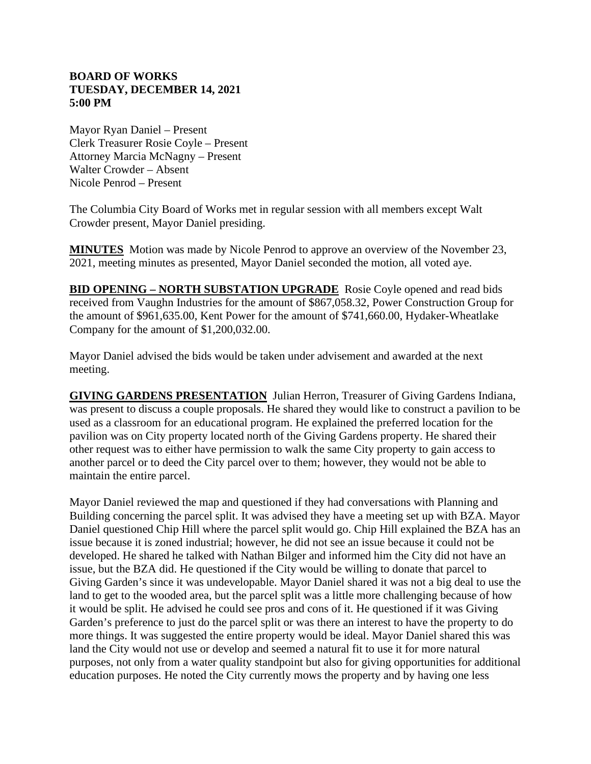## **BOARD OF WORKS TUESDAY, DECEMBER 14, 2021 5:00 PM**

Mayor Ryan Daniel – Present Clerk Treasurer Rosie Coyle – Present Attorney Marcia McNagny – Present Walter Crowder – Absent Nicole Penrod – Present

The Columbia City Board of Works met in regular session with all members except Walt Crowder present, Mayor Daniel presiding.

**MINUTES** Motion was made by Nicole Penrod to approve an overview of the November 23, 2021, meeting minutes as presented, Mayor Daniel seconded the motion, all voted aye.

**BID OPENING – NORTH SUBSTATION UPGRADE** Rosie Coyle opened and read bids received from Vaughn Industries for the amount of \$867,058.32, Power Construction Group for the amount of \$961,635.00, Kent Power for the amount of \$741,660.00, Hydaker-Wheatlake Company for the amount of \$1,200,032.00.

Mayor Daniel advised the bids would be taken under advisement and awarded at the next meeting.

**GIVING GARDENS PRESENTATION** Julian Herron, Treasurer of Giving Gardens Indiana, was present to discuss a couple proposals. He shared they would like to construct a pavilion to be used as a classroom for an educational program. He explained the preferred location for the pavilion was on City property located north of the Giving Gardens property. He shared their other request was to either have permission to walk the same City property to gain access to another parcel or to deed the City parcel over to them; however, they would not be able to maintain the entire parcel.

Mayor Daniel reviewed the map and questioned if they had conversations with Planning and Building concerning the parcel split. It was advised they have a meeting set up with BZA. Mayor Daniel questioned Chip Hill where the parcel split would go. Chip Hill explained the BZA has an issue because it is zoned industrial; however, he did not see an issue because it could not be developed. He shared he talked with Nathan Bilger and informed him the City did not have an issue, but the BZA did. He questioned if the City would be willing to donate that parcel to Giving Garden's since it was undevelopable. Mayor Daniel shared it was not a big deal to use the land to get to the wooded area, but the parcel split was a little more challenging because of how it would be split. He advised he could see pros and cons of it. He questioned if it was Giving Garden's preference to just do the parcel split or was there an interest to have the property to do more things. It was suggested the entire property would be ideal. Mayor Daniel shared this was land the City would not use or develop and seemed a natural fit to use it for more natural purposes, not only from a water quality standpoint but also for giving opportunities for additional education purposes. He noted the City currently mows the property and by having one less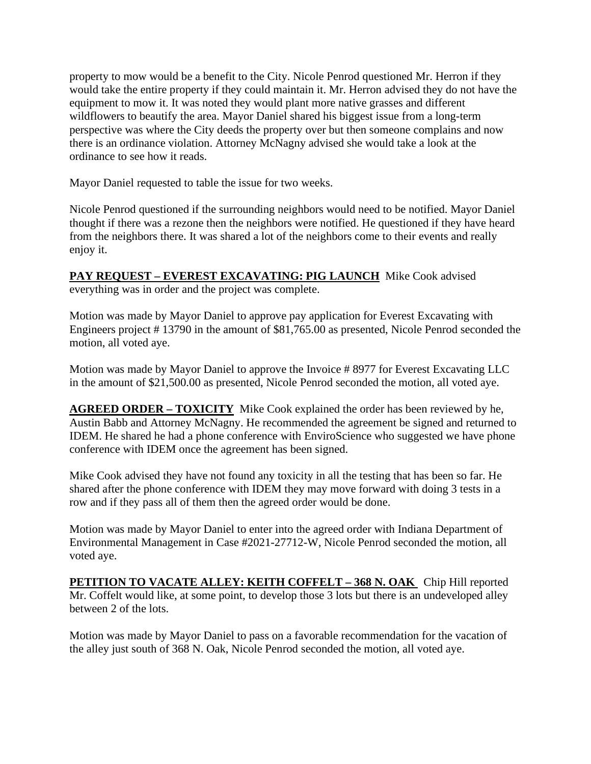property to mow would be a benefit to the City. Nicole Penrod questioned Mr. Herron if they would take the entire property if they could maintain it. Mr. Herron advised they do not have the equipment to mow it. It was noted they would plant more native grasses and different wildflowers to beautify the area. Mayor Daniel shared his biggest issue from a long-term perspective was where the City deeds the property over but then someone complains and now there is an ordinance violation. Attorney McNagny advised she would take a look at the ordinance to see how it reads.

Mayor Daniel requested to table the issue for two weeks.

Nicole Penrod questioned if the surrounding neighbors would need to be notified. Mayor Daniel thought if there was a rezone then the neighbors were notified. He questioned if they have heard from the neighbors there. It was shared a lot of the neighbors come to their events and really enjoy it.

**PAY REQUEST – EVEREST EXCAVATING: PIG LAUNCH** Mike Cook advised everything was in order and the project was complete.

Motion was made by Mayor Daniel to approve pay application for Everest Excavating with Engineers project # 13790 in the amount of \$81,765.00 as presented, Nicole Penrod seconded the motion, all voted aye.

Motion was made by Mayor Daniel to approve the Invoice # 8977 for Everest Excavating LLC in the amount of \$21,500.00 as presented, Nicole Penrod seconded the motion, all voted aye.

**AGREED ORDER – TOXICITY** Mike Cook explained the order has been reviewed by he, Austin Babb and Attorney McNagny. He recommended the agreement be signed and returned to IDEM. He shared he had a phone conference with EnviroScience who suggested we have phone conference with IDEM once the agreement has been signed.

Mike Cook advised they have not found any toxicity in all the testing that has been so far. He shared after the phone conference with IDEM they may move forward with doing 3 tests in a row and if they pass all of them then the agreed order would be done.

Motion was made by Mayor Daniel to enter into the agreed order with Indiana Department of Environmental Management in Case #2021-27712-W, Nicole Penrod seconded the motion, all voted aye.

**PETITION TO VACATE ALLEY: KEITH COFFELT – 368 N. OAK** Chip Hill reported Mr. Coffelt would like, at some point, to develop those 3 lots but there is an undeveloped alley between 2 of the lots.

Motion was made by Mayor Daniel to pass on a favorable recommendation for the vacation of the alley just south of 368 N. Oak, Nicole Penrod seconded the motion, all voted aye.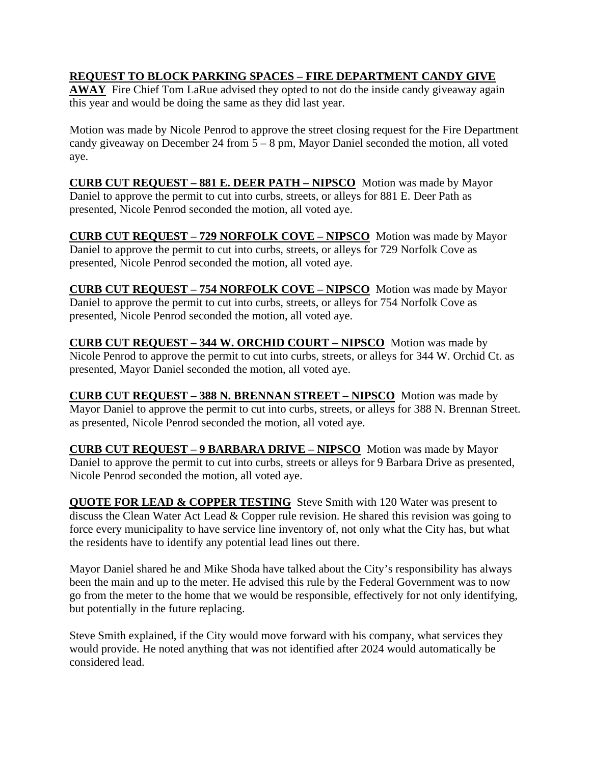## **REQUEST TO BLOCK PARKING SPACES – FIRE DEPARTMENT CANDY GIVE**

**AWAY** Fire Chief Tom LaRue advised they opted to not do the inside candy giveaway again this year and would be doing the same as they did last year.

Motion was made by Nicole Penrod to approve the street closing request for the Fire Department candy giveaway on December 24 from 5 – 8 pm, Mayor Daniel seconded the motion, all voted aye.

**CURB CUT REQUEST – 881 E. DEER PATH – NIPSCO** Motion was made by Mayor Daniel to approve the permit to cut into curbs, streets, or alleys for 881 E. Deer Path as presented, Nicole Penrod seconded the motion, all voted aye.

**CURB CUT REQUEST – 729 NORFOLK COVE – NIPSCO** Motion was made by Mayor Daniel to approve the permit to cut into curbs, streets, or alleys for 729 Norfolk Cove as presented, Nicole Penrod seconded the motion, all voted aye.

**CURB CUT REQUEST – 754 NORFOLK COVE – NIPSCO** Motion was made by Mayor Daniel to approve the permit to cut into curbs, streets, or alleys for 754 Norfolk Cove as presented, Nicole Penrod seconded the motion, all voted aye.

**CURB CUT REQUEST – 344 W. ORCHID COURT – NIPSCO** Motion was made by Nicole Penrod to approve the permit to cut into curbs, streets, or alleys for 344 W. Orchid Ct. as presented, Mayor Daniel seconded the motion, all voted aye.

**CURB CUT REQUEST – 388 N. BRENNAN STREET – NIPSCO** Motion was made by Mayor Daniel to approve the permit to cut into curbs, streets, or alleys for 388 N. Brennan Street. as presented, Nicole Penrod seconded the motion, all voted aye.

**CURB CUT REQUEST – 9 BARBARA DRIVE – NIPSCO** Motion was made by Mayor Daniel to approve the permit to cut into curbs, streets or alleys for 9 Barbara Drive as presented, Nicole Penrod seconded the motion, all voted aye.

**QUOTE FOR LEAD & COPPER TESTING** Steve Smith with 120 Water was present to discuss the Clean Water Act Lead & Copper rule revision. He shared this revision was going to force every municipality to have service line inventory of, not only what the City has, but what the residents have to identify any potential lead lines out there.

Mayor Daniel shared he and Mike Shoda have talked about the City's responsibility has always been the main and up to the meter. He advised this rule by the Federal Government was to now go from the meter to the home that we would be responsible, effectively for not only identifying, but potentially in the future replacing.

Steve Smith explained, if the City would move forward with his company, what services they would provide. He noted anything that was not identified after 2024 would automatically be considered lead.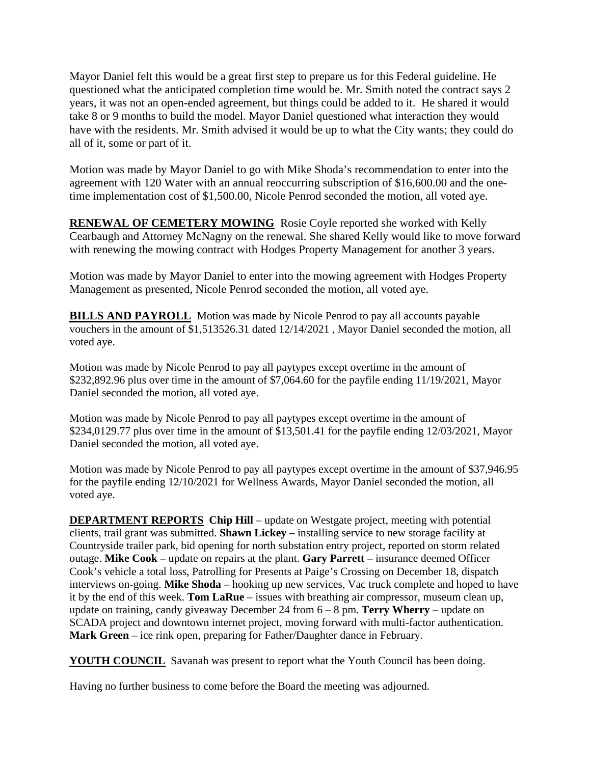Mayor Daniel felt this would be a great first step to prepare us for this Federal guideline. He questioned what the anticipated completion time would be. Mr. Smith noted the contract says 2 years, it was not an open-ended agreement, but things could be added to it. He shared it would take 8 or 9 months to build the model. Mayor Daniel questioned what interaction they would have with the residents. Mr. Smith advised it would be up to what the City wants; they could do all of it, some or part of it.

Motion was made by Mayor Daniel to go with Mike Shoda's recommendation to enter into the agreement with 120 Water with an annual reoccurring subscription of \$16,600.00 and the onetime implementation cost of \$1,500.00, Nicole Penrod seconded the motion, all voted aye.

**RENEWAL OF CEMETERY MOWING** Rosie Coyle reported she worked with Kelly Cearbaugh and Attorney McNagny on the renewal. She shared Kelly would like to move forward with renewing the mowing contract with Hodges Property Management for another 3 years.

Motion was made by Mayor Daniel to enter into the mowing agreement with Hodges Property Management as presented, Nicole Penrod seconded the motion, all voted aye.

**BILLS AND PAYROLL** Motion was made by Nicole Penrod to pay all accounts payable vouchers in the amount of \$1,513526.31 dated 12/14/2021 , Mayor Daniel seconded the motion, all voted aye.

Motion was made by Nicole Penrod to pay all paytypes except overtime in the amount of \$232,892.96 plus over time in the amount of \$7,064.60 for the payfile ending 11/19/2021, Mayor Daniel seconded the motion, all voted aye.

Motion was made by Nicole Penrod to pay all paytypes except overtime in the amount of \$234,0129.77 plus over time in the amount of \$13,501.41 for the payfile ending 12/03/2021, Mayor Daniel seconded the motion, all voted aye.

Motion was made by Nicole Penrod to pay all paytypes except overtime in the amount of \$37,946.95 for the payfile ending 12/10/2021 for Wellness Awards, Mayor Daniel seconded the motion, all voted aye.

**DEPARTMENT REPORTS** Chip Hill – update on Westgate project, meeting with potential clients, trail grant was submitted. **Shawn Lickey –** installing service to new storage facility at Countryside trailer park, bid opening for north substation entry project, reported on storm related outage. **Mike Cook** – update on repairs at the plant. **Gary Parrett** – insurance deemed Officer Cook's vehicle a total loss, Patrolling for Presents at Paige's Crossing on December 18, dispatch interviews on-going. **Mike Shoda** – hooking up new services, Vac truck complete and hoped to have it by the end of this week. **Tom LaRue** – issues with breathing air compressor, museum clean up, update on training, candy giveaway December 24 from 6 – 8 pm. **Terry Wherry** – update on SCADA project and downtown internet project, moving forward with multi-factor authentication. **Mark Green** – ice rink open, preparing for Father/Daughter dance in February.

**YOUTH COUNCIL** Savanah was present to report what the Youth Council has been doing.

Having no further business to come before the Board the meeting was adjourned.